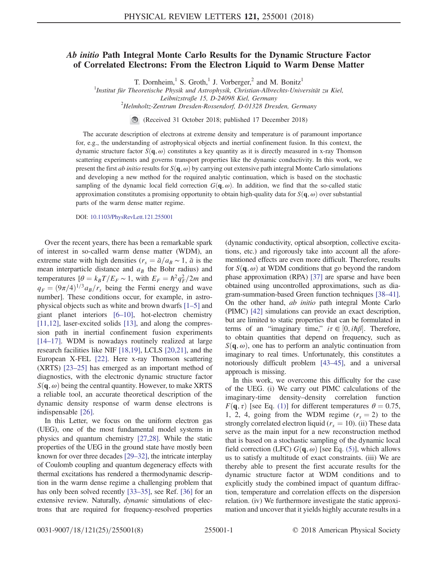## Ab initio Path Integral Monte Carlo Results for the Dynamic Structure Factor of Correlated Electrons: From the Electron Liquid to Warm Dense Matter

T. Dornheim,<sup>1</sup> S. Groth,<sup>1</sup> J. Vorberger,<sup>2</sup> and M. Bonitz<sup>1</sup>

<sup>1</sup>Institut für Theoretische Physik und Astrophysik, Christian-Albrechts-Universität zu Kiel,

Leibnizstraße 15, D-24098 Kiel, Germany<br><sup>2</sup>Helmholtz-Zentrum Dresden-Rossendorf, D-01328 Dresden, Germany

(Received 31 October 2018; published 17 December 2018)

The accurate description of electrons at extreme density and temperature is of paramount importance for, e.g., the understanding of astrophysical objects and inertial confinement fusion. In this context, the dynamic structure factor  $S(\mathbf{q}, \omega)$  constitutes a key quantity as it is directly measured in x-ray Thomson scattering experiments and governs transport properties like the dynamic conductivity. In this work, we present the first ab initio results for  $S(\mathbf{q}, \omega)$  by carrying out extensive path integral Monte Carlo simulations and developing a new method for the required analytic continuation, which is based on the stochastic sampling of the dynamic local field correction  $G(q,\omega)$ . In addition, we find that the so-called static approximation constitutes a promising opportunity to obtain high-quality data for  $S(\mathbf{q}, \omega)$  over substantial parts of the warm dense matter regime.

DOI: [10.1103/PhysRevLett.121.255001](https://doi.org/10.1103/PhysRevLett.121.255001)

Over the recent years, there has been a remarkable spark of interest in so-called warm dense matter (WDM), an extreme state with high densities ( $r_s = \bar{a}/a_B \sim 1$ ,  $\bar{a}$  is the mean interparticle distance and  $a_B$  the Bohr radius) and temperatures  $[\theta = k_B T/E_F \sim 1$ , with  $E_F = \hbar^2 q_F^2/2m$  and  $q_F = (9\pi/4)^{1/3} a_B/r_s$  being the Fermi energy and wave number]. These conditions occur, for example, in astrophysical objects such as white and brown dwarfs [\[1](#page-4-0)–5] and giant planet interiors [6–[10\]](#page-4-1), hot-electron chemistry [\[11,12\]](#page-4-2), laser-excited solids [\[13\]](#page-4-3), and along the compression path in inertial confinement fusion experiments [\[14](#page-4-4)–17]. WDM is nowadays routinely realized at large research facilities like NIF [\[18,19\]](#page-4-5), LCLS [\[20,21\],](#page-4-6) and the European X-FEL [\[22\]](#page-4-7). Here x-ray Thomson scattering (XRTS) [23–[25\]](#page-4-8) has emerged as an important method of diagnostics, with the electronic dynamic structure factor  $S(\mathbf{q}, \omega)$  being the central quantity. However, to make XRTS a reliable tool, an accurate theoretical description of the dynamic density response of warm dense electrons is indispensable [\[26\]](#page-5-0).

In this Letter, we focus on the uniform electron gas (UEG), one of the most fundamental model systems in physics and quantum chemistry [\[27,28\].](#page-5-1) While the static properties of the UEG in the ground state have mostly been known for over three decades [29–[32\]](#page-5-2), the intricate interplay of Coulomb coupling and quantum degeneracy effects with thermal excitations has rendered a thermodynamic description in the warm dense regime a challenging problem that has only been solved recently [\[33](#page-5-3)–35], see Ref. [\[36\]](#page-5-4) for an extensive review. Naturally, dynamic simulations of electrons that are required for frequency-resolved properties (dynamic conductivity, optical absorption, collective excitations, etc.) and rigorously take into account all the aforementioned effects are even more difficult. Therefore, results for  $S(\mathbf{q},\omega)$  at WDM conditions that go beyond the random phase approximation (RPA) [\[37\]](#page-5-5) are sparse and have been obtained using uncontrolled approximations, such as diagram-summation-based Green function techniques [\[38](#page-5-6)–41]. On the other hand, ab initio path integral Monte Carlo (PIMC) [\[42\]](#page-5-7) simulations can provide an exact description, but are limited to static properties that can be formulated in terms of an "imaginary time,"  $i\tau \in [0, i\hbar\beta]$ . Therefore, to obtain quantities that depend on frequency, such as  $S(q, \omega)$ , one has to perform an analytic continuation from imaginary to real times. Unfortunately, this constitutes a notoriously difficult problem [\[43](#page-5-8)–45], and a universal approach is missing.

In this work, we overcome this difficulty for the case of the UEG. (i) We carry out PIMC calculations of the imaginary-time density–density correlation function  $F(\mathbf{q}, \tau)$  [see Eq. [\(1\)\]](#page-1-0) for different temperatures  $\theta = 0.75$ , 1, 2, 4, going from the WDM regime  $(r_s = 2)$  to the strongly correlated electron liquid ( $r_s = 10$ ). (ii) These data serve as the main input for a new reconstruction method that is based on a stochastic sampling of the dynamic local field correction (LFC)  $G(\mathbf{q}, \omega)$  [see Eq. [\(5\)\]](#page-1-1), which allows us to satisfy a multitude of exact constraints. (iii) We are thereby able to present the first accurate results for the dynamic structure factor at WDM conditions and to explicitly study the combined impact of quantum diffraction, temperature and correlation effects on the dispersion relation. (iv) We furthermore investigate the static approximation and uncover that it yields highly accurate results in a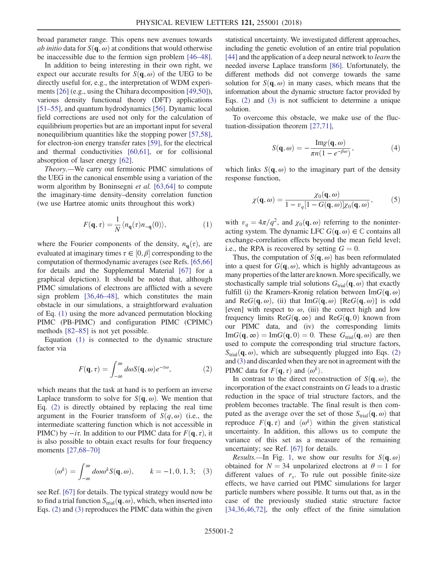broad parameter range. This opens new avenues towards *ab initio* data for  $S(\mathbf{q}, \omega)$  at conditions that would otherwise be inaccessible due to the fermion sign problem [\[46](#page-5-9)–48].

In addition to being interesting in their own right, we expect our accurate results for  $S(\mathbf{q}, \omega)$  of the UEG to be directly useful for, e.g., the interpretation of WDM experiments [\[26\]](#page-5-0) (e.g., using the Chihara decomposition [\[49,50\]](#page-5-10)), various density functional theory (DFT) applications [\[51](#page-5-11)–55], and quantum hydrodynamics [\[56\]](#page-5-12). Dynamic local field corrections are used not only for the calculation of equilibrium properties but are an important input for several nonequilibrium quantities like the stopping power [\[57,58\]](#page-5-13), for electron-ion energy transfer rates [\[59\],](#page-6-0) for the electrical and thermal conductivities [\[60,61\],](#page-6-1) or for collisional absorption of laser energy [\[62\]](#page-6-2).

<span id="page-1-0"></span>Theory.—We carry out fermionic PIMC simulations of the UEG in the canonical ensemble using a variation of the worm algorithm by Boninsegni et al. [\[63,64\]](#page-6-3) to compute the imaginary-time density–density correlation function (we use Hartree atomic units throughout this work)

$$
F(\mathbf{q}, \tau) = \frac{1}{N} \langle n_{\mathbf{q}}(\tau) n_{-\mathbf{q}}(0) \rangle, \tag{1}
$$

where the Fourier components of the density,  $n_{q}(\tau)$ , are evaluated at imaginary times  $\tau \in [0, \beta]$  corresponding to the computation of thermodynamic averages (see Refs. [\[65,66\]](#page-6-4) for details and the Supplemental Material [\[67\]](#page-6-5) for a graphical depiction). It should be noted that, although PIMC simulations of electrons are afflicted with a severe sign problem [\[36,46](#page-5-4)–48], which constitutes the main obstacle in our simulations, a straightforward evaluation of Eq. [\(1\)](#page-1-0) using the more advanced permutation blocking PIMC (PB-PIMC) and configuration PIMC (CPIMC) methods [82–[85\]](#page-6-6) is not yet possible.

<span id="page-1-2"></span>Equation [\(1\)](#page-1-0) is connected to the dynamic structure factor via

$$
F(\mathbf{q}, \tau) = \int_{-\infty}^{\infty} d\omega S(\mathbf{q}, \omega) e^{-\tau \omega}, \qquad (2)
$$

which means that the task at hand is to perform an inverse Laplace transform to solve for  $S(q, \omega)$ . We mention that Eq. [\(2\)](#page-1-2) is directly obtained by replacing the real time argument in the Fourier transform of  $S(q,\omega)$  (i.e., the intermediate scattering function which is not accessible in PIMC) by  $-i\tau$ . In addition to our PIMC data for  $F(\mathbf{q}, \tau)$ , it is also possible to obtain exact results for four frequency moments [\[27,68](#page-5-1)–70]

<span id="page-1-3"></span>
$$
\langle \omega^k \rangle = \int_{-\infty}^{\infty} d\omega \omega^k S(\mathbf{q}, \omega), \qquad k = -1, 0, 1, 3; \quad (3)
$$

see Ref. [\[67\]](#page-6-5) for details. The typical strategy would now be to find a trial function  $S_{trial}(\mathbf{q},\omega)$ , which, when inserted into Eqs. [\(2\)](#page-1-2) and [\(3\)](#page-1-3) reproduces the PIMC data within the given statistical uncertainty. We investigated different approaches, including the genetic evolution of an entire trial population [\[44\]](#page-5-14) and the application of a deep neural network to *learn* the needed inverse Laplace transform [\[86\].](#page-6-7) Unfortunately, the different methods did not converge towards the same solution for  $S(\mathbf{q}, \omega)$  in many cases, which means that the information about the dynamic structure factor provided by Eqs. [\(2\)](#page-1-2) and [\(3\)](#page-1-3) is not sufficient to determine a unique solution.

To overcome this obstacle, we make use of the fluctuation-dissipation theorem [\[27,71\],](#page-5-1)

$$
S(\mathbf{q}, \omega) = -\frac{\text{Im}\chi(\mathbf{q}, \omega)}{\pi n(1 - e^{-\beta \omega})},
$$
\n(4)

<span id="page-1-1"></span>which links  $S(\mathbf{q}, \omega)$  to the imaginary part of the density response function,

$$
\chi(\mathbf{q},\omega) = \frac{\chi_0(\mathbf{q},\omega)}{1 - v_q[1 - G(\mathbf{q},\omega)]\chi_0(\mathbf{q},\omega)},
$$
(5)

with  $v_q = 4\pi/q^2$ , and  $\chi_0(\mathbf{q}, \omega)$  referring to the noninteracting system. The dynamic LFC  $G(\mathbf{q}, \omega) \in \mathbb{C}$  contains all exchange-correlation effects beyond the mean field level; i.e., the RPA is recovered by setting  $G = 0$ .

Thus, the computation of  $S(\mathbf{q}, \omega)$  has been reformulated into a quest for  $G(\mathbf{q}, \omega)$ , which is highly advantageous as many properties of the latter are known. More specifically, we stochastically sample trial solutions  $G<sub>trial</sub>(**q**, \omega)$  that exactly fulfill (i) the Kramers-Kronig relation between  $\text{Im}G(\mathbf{q},\omega)$ and ReG $(q, \omega)$ , (ii) that ImG $(q, \omega)$  [ReG $(q, \omega)$ ] is odd [even] with respect to  $\omega$ , (iii) the correct high and low frequency limits ReG $(q, \infty)$  and ReG $(q, 0)$  known from our PIMC data, and (iv) the corresponding limits  $\text{Im}G(\mathbf{q},\infty) = \text{Im}G(\mathbf{q},0) = 0$ . These  $G_{\text{trial}}(\mathbf{q},\omega)$  are then used to compute the corresponding trial structure factors,  $S<sub>trial</sub>(\mathbf{q}, \omega)$ , which are subsequently plugged into Eqs. [\(2\)](#page-1-2) and [\(3\)](#page-1-3) and discarded when they are not in agreement with the PIMC data for  $F(\mathbf{q}, \tau)$  and  $\langle \omega^k \rangle$ .

In contrast to the direct reconstruction of  $S(\mathbf{q}, \omega)$ , the incorporation of the exact constraints on G leads to a drastic reduction in the space of trial structure factors, and the problem becomes tractable. The final result is then computed as the average over the set of those  $S_{trial}(\mathbf{q},\omega)$  that reproduce  $F(\mathbf{q}, \tau)$  and  $\langle \omega^k \rangle$  within the given statistical uncertainty. In addition, this allows us to compute the variance of this set as a measure of the remaining uncertainty; see Ref. [\[67\]](#page-6-5) for details.

*Results.*—In Fig. [1](#page-2-0), we show our results for  $S(\mathbf{q}, \omega)$ obtained for  $N = 34$  unpolarized electrons at  $\theta = 1$  for different values of  $r_s$ . To rule out possible finite-size effects, we have carried out PIMC simulations for larger particle numbers where possible. It turns out that, as in the case of the previously studied static structure factor [\[34,36,46,72\],](#page-5-15) the only effect of the finite simulation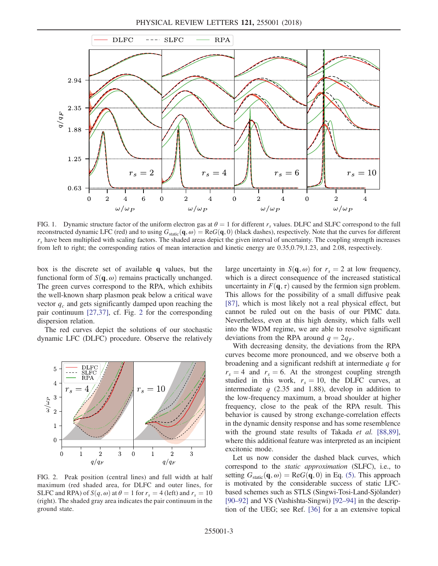<span id="page-2-0"></span>

FIG. 1. Dynamic structure factor of the uniform electron gas at  $\theta = 1$  for different r<sub>s</sub> values. DLFC and SLFC correspond to the full reconstructed dynamic LFC (red) and to using  $G_{static}(q, \omega) = \text{Re}G(q, 0)$  (black dashes), respectively. Note that the curves for different  $r<sub>s</sub>$  have been multiplied with scaling factors. The shaded areas depict the given interval of uncertainty. The coupling strength increases from left to right; the corresponding ratios of mean interaction and kinetic energy are 0.35,0.79,1.23, and 2.08, respectively.

box is the discrete set of available q values, but the functional form of  $S(\mathbf{q}, \omega)$  remains practically unchanged. The green curves correspond to the RPA, which exhibits the well-known sharp plasmon peak below a critical wave vector  $q_c$  and gets significantly damped upon reaching the pair continuum [\[27,37\],](#page-5-1) cf. Fig. [2](#page-2-1) for the corresponding dispersion relation.

The red curves depict the solutions of our stochastic dynamic LFC (DLFC) procedure. Observe the relatively

<span id="page-2-1"></span>

FIG. 2. Peak position (central lines) and full width at half maximum (red shaded area, for DLFC and outer lines, for SLFC and RPA) of  $S(q, \omega)$  at  $\theta = 1$  for  $r_s = 4$  (left) and  $r_s = 10$ (right). The shaded gray area indicates the pair continuum in the ground state.

large uncertainty in  $S(\mathbf{q}, \omega)$  for  $r_s = 2$  at low frequency, which is a direct consequence of the increased statistical uncertainty in  $F(\mathbf{q}, \tau)$  caused by the fermion sign problem. This allows for the possibility of a small diffusive peak [\[87\]](#page-6-8), which is most likely not a real physical effect, but cannot be ruled out on the basis of our PIMC data. Nevertheless, even at this high density, which falls well into the WDM regime, we are able to resolve significant deviations from the RPA around  $q = 2q_F$ .

With decreasing density, the deviations from the RPA curves become more pronounced, and we observe both a broadening and a significant redshift at intermediate q for  $r_s = 4$  and  $r_s = 6$ . At the strongest coupling strength studied in this work,  $r_s = 10$ , the DLFC curves, at intermediate  $q$  (2.35 and 1.88), develop in addition to the low-frequency maximum, a broad shoulder at higher frequency, close to the peak of the RPA result. This behavior is caused by strong exchange-correlation effects in the dynamic density response and has some resemblence with the ground state results of Takada et al. [\[88,89\]](#page-6-9), where this additional feature was interpreted as an incipient excitonic mode.

Let us now consider the dashed black curves, which correspond to the static approximation (SLFC), i.e., to setting  $G_{\text{static}}(\mathbf{q}, \omega) = \text{Re}G(\mathbf{q}, 0)$  in Eq. [\(5\)](#page-1-1). This approach is motivated by the considerable success of static LFCbased schemes such as STLS (Singwi-Tosi-Land-Sjölander) [\[90](#page-6-10)–92] and VS (Vashishta-Singwi) [92–[94\]](#page-6-11) in the description of the UEG; see Ref. [\[36\]](#page-5-4) for a an extensive topical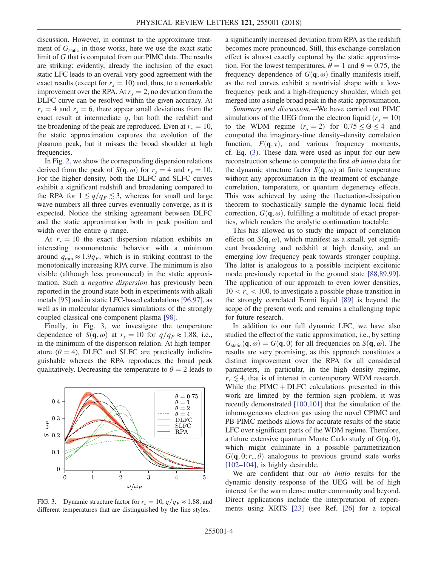discussion. However, in contrast to the approximate treatment of  $G<sub>static</sub>$  in those works, here we use the exact static limit of G that is computed from our PIMC data. The results are striking: evidently, already the inclusion of the exact static LFC leads to an overall very good agreement with the exact results (except for  $r_s = 10$ ) and, thus, to a remarkable improvement over the RPA. At  $r_s = 2$ , no deviation from the DLFC curve can be resolved within the given accuracy. At  $r_s = 4$  and  $r_s = 6$ , there appear small deviations from the exact result at intermediate  $q$ , but both the redshift and the broadening of the peak are reproduced. Even at  $r_s = 10$ , the static approximation captures the evolution of the plasmon peak, but it misses the broad shoulder at high frequencies.

In Fig. [2](#page-2-1), we show the corresponding dispersion relations derived from the peak of  $S(\mathbf{q}, \omega)$  for  $r_s = 4$  and  $r_s = 10$ . For the higher density, both the DLFC and SLFC curves exhibit a significant redshift and broadening compared to the RPA for  $1 \lesssim q/q_F \lesssim 3$ , whereas for small and large wave numbers all three curves eventually converge, as it is expected. Notice the striking agreement between DLFC and the static approximation both in peak position and width over the entire  $q$  range.

At  $r_s = 10$  the exact dispersion relation exhibits an interesting nonmonotonic behavior with a minimum around  $q_{\min} \approx 1.9q_F$ , which is in striking contrast to the monotonically increasing RPA curve. The minimum is also visible (although less pronounced) in the static approximation. Such a negative dispersion has previously been reported in the ground state both in experiments with alkali metals [\[95\]](#page-6-12) and in static LFC-based calculations [\[96,97\]](#page-6-13), as well as in molecular dynamics simulations of the strongly coupled classical one-component plasma [\[98\].](#page-7-0)

Finally, in Fig. [3](#page-3-0), we investigate the temperature dependence of  $S(\mathbf{q}, \omega)$  at  $r_s = 10$  for  $q/q_F \approx 1.88$ , i.e., in the minimum of the dispersion relation. At high temperature ( $\theta = 4$ ), DLFC and SLFC are practically indistinguishable whereas the RPA reproduces the broad peak qualitatively. Decreasing the temperature to  $\theta = 2$  leads to

<span id="page-3-0"></span>

FIG. 3. Dynamic structure factor for  $r_s = 10$ ,  $q/q_F \approx 1.88$ , and different temperatures that are distinguished by the line styles.

a significantly increased deviation from RPA as the redshift becomes more pronounced. Still, this exchange-correlation effect is almost exactly captured by the static approximation. For the lowest temperatures,  $\theta = 1$  and  $\theta = 0.75$ , the frequency dependence of  $G(\mathbf{q}, \omega)$  finally manifests itself, as the red curves exhibit a nontrivial shape with a lowfrequency peak and a high-frequency shoulder, which get merged into a single broad peak in the static approximation.

Summary and discussion.—We have carried out PIMC simulations of the UEG from the electron liquid ( $r_s = 10$ ) to the WDM regime  $(r_s = 2)$  for  $0.75 \le \Theta \le 4$  and computed the imaginary-time density–density correlation function,  $F(\mathbf{q}, \tau)$ , and various frequency moments, cf. Eq. [\(3\)](#page-1-3). These data were used as input for our new reconstruction scheme to compute the first ab initio data for the dynamic structure factor  $S(\mathbf{q}, \omega)$  at finite temperature without any approximation in the treatment of exchangecorrelation, temperature, or quantum degeneracy effects. This was achieved by using the fluctuation-dissipation theorem to stochastically sample the dynamic local field correction,  $G(q, \omega)$ , fulfilling a multitude of exact properties, which renders the analytic continuation tractable.

This has allowed us to study the impact of correlation effects on  $S(q, \omega)$ , which manifest as a small, yet significant broadening and redshift at high density, and an emerging low frequency peak towards stronger coupling. The latter is analogous to a possible incipient excitonic mode previously reported in the ground state [\[88,89,99\]](#page-6-9). The application of our approach to even lower densities,  $10 < r<sub>s</sub> < 100$ , to investigate a possible phase transition in the strongly correlated Fermi liquid [\[89\]](#page-6-14) is beyond the scope of the present work and remains a challenging topic for future research.

In addition to our full dynamic LFC, we have also studied the effect of the static approximation, i.e., by setting  $G_{static}(\mathbf{q}, \omega) = G(\mathbf{q}, 0)$  for all frequencies on  $S(\mathbf{q}, \omega)$ . The results are very promising, as this approach constitutes a distinct improvement over the RPA for all considered parameters, in particular, in the high density regime,  $r_s \lesssim 4$ , that is of interest in contemporary WDM research. While the  $PIMC + DLFC$  calculations presented in this work are limited by the fermion sign problem, it was recently demonstrated [\[100,101\]](#page-7-1) that the simulation of the inhomogeneous electron gas using the novel CPIMC and PB-PIMC methods allows for accurate results of the static LFC over significant parts of the WDM regime. Therefore, a future extensive quantum Monte Carlo study of  $G(\mathbf{q}, 0)$ , which might culminate in a possible parametrization  $G(\mathbf{q}, 0; r_s, \theta)$  analogous to previous ground state works  $[102-104]$  $[102-104]$ , is highly desirable.

We are confident that our *ab initio* results for the dynamic density response of the UEG will be of high interest for the warm dense matter community and beyond. Direct applications include the interpretation of experiments using XRTS [\[23\]](#page-4-8) (see Ref. [\[26\]](#page-5-0) for a topical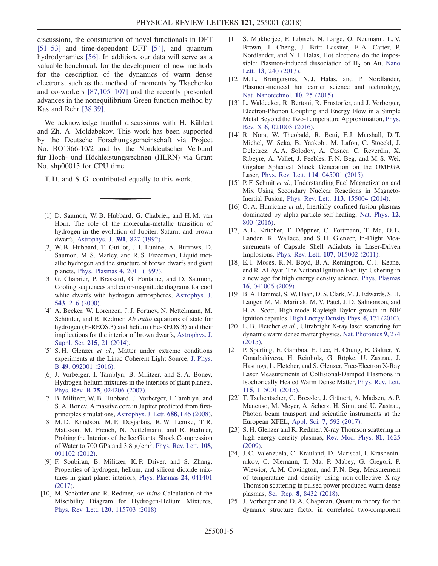discussion), the construction of novel functionals in DFT [\[51](#page-5-11)–53] and time-dependent DFT [\[54\]](#page-5-16), and quantum hydrodynamics [\[56\]](#page-5-12). In addition, our data will serve as a valuable benchmark for the development of new methods for the description of the dynamics of warm dense electrons, such as the method of moments by Tkachenko and co-workers [\[87,105](#page-6-8)–107] and the recently presented advances in the nonequilibrium Green function method by Kas and Rehr [\[38,39\].](#page-5-6)

We acknowledge fruitful discussions with H. Kählert and Zh. A. Moldabekov. This work has been supported by the Deutsche Forschungsgemeinschaft via Project No. BO1366-10/2 and by the Norddeutscher Verbund für Hoch- und Höchleistungsrechnen (HLRN) via Grant No. shp00015 for CPU time.

T. D. and S. G. contributed equally to this work.

- <span id="page-4-0"></span>[1] D. Saumon, W. B. Hubbard, G. Chabrier, and H. M. van Horn, The role of the molecular-metallic transition of hydrogen in the evolution of Jupiter, Saturn, and brown dwarfs, [Astrophys. J.](https://doi.org/10.1086/171391) 391, 827 (1992).
- [2] W. B. Hubbard, T. Guillot, J. I. Lunine, A. Burrows, D. Saumon, M. S. Marley, and R. S. Freedman, Liquid metallic hydrogen and the structure of brown dwarfs and giant planets, [Phys. Plasmas](https://doi.org/10.1063/1.872570) 4, 2011 (1997).
- [3] G. Chabrier, P. Brassard, G. Fontaine, and D. Saumon, Cooling sequences and color-magnitude diagrams for cool white dwarfs with hydrogen atmospheres, [Astrophys. J.](https://doi.org/10.1086/317092) 543[, 216 \(2000\)](https://doi.org/10.1086/317092).
- [4] A. Becker, W. Lorenzen, J. J. Fortney, N. Nettelmann, M. Schöttler, and R. Redmer, Ab initio equations of state for hydrogen (H-REOS.3) and helium (He-REOS.3) and their implications for the interior of brown dwarfs, [Astrophys. J.](https://doi.org/10.1088/0067-0049/215/2/21) Suppl. Ser. 215[, 21 \(2014\).](https://doi.org/10.1088/0067-0049/215/2/21)
- <span id="page-4-1"></span>[5] S. H. Glenzer et al., Matter under extreme conditions experiments at the Linac Coherent Light Source, [J. Phys.](https://doi.org/10.1088/0953-4075/49/9/092001) B 49[, 092001 \(2016\)](https://doi.org/10.1088/0953-4075/49/9/092001).
- [6] J. Vorberger, I. Tamblyn, B. Militzer, and S. A. Bonev, Hydrogen-helium mixtures in the interiors of giant planets, Phys. Rev. B 75[, 024206 \(2007\).](https://doi.org/10.1103/PhysRevB.75.024206)
- [7] B. Militzer, W. B. Hubbard, J. Vorberger, I. Tamblyn, and S. A. Bonev, A massive core in Jupiter predicted from firstprinciples simulations, [Astrophys. J. Lett.](https://doi.org/10.1086/594364) 688, L45 (2008).
- [8] M. D. Knudson, M. P. Desjarlais, R. W. Lemke, T. R. Mattsson, M. French, N. Nettelmann, and R. Redmer, Probing the Interiors of the Ice Giants: Shock Compression of Water to 700 GPa and 3.8  $g/cm<sup>3</sup>$ , [Phys. Rev. Lett.](https://doi.org/10.1103/PhysRevLett.108.091102) 108, [091102 \(2012\).](https://doi.org/10.1103/PhysRevLett.108.091102)
- [9] F. Soubiran, B. Militzer, K. P. Driver, and S. Zhang, Properties of hydrogen, helium, and silicon dioxide mixtures in giant planet interiors, [Phys. Plasmas](https://doi.org/10.1063/1.4978618) 24, 041401 [\(2017\).](https://doi.org/10.1063/1.4978618)
- [10] M. Schöttler and R. Redmer, Ab Initio Calculation of the Miscibility Diagram for Hydrogen-Helium Mixtures, Phys. Rev. Lett. 120[, 115703 \(2018\).](https://doi.org/10.1103/PhysRevLett.120.115703)
- <span id="page-4-2"></span>[11] S. Mukherjee, F. Libisch, N. Large, O. Neumann, L. V. Brown, J. Cheng, J. Britt Lassiter, E. A. Carter, P. Nordlander, and N. J. Halas, Hot electrons do the impossible: Plasmon-induced dissociation of  $H<sub>2</sub>$  on Au, [Nano](https://doi.org/10.1021/nl303940z) Lett. 13[, 240 \(2013\)](https://doi.org/10.1021/nl303940z).
- [12] M. L. Brongersma, N. J. Halas, and P. Nordlander, Plasmon-induced hot carrier science and technology, [Nat. Nanotechnol.](https://doi.org/10.1038/nnano.2014.311) 10, 25 (2015).
- <span id="page-4-3"></span>[13] L. Waldecker, R. Bertoni, R. Ernstorfer, and J. Vorberger, Electron-Phonon Coupling and Energy Flow in a Simple Metal Beyond the Two-Temperature Approximation, [Phys.](https://doi.org/10.1103/PhysRevX.6.021003) Rev. X 6[, 021003 \(2016\)](https://doi.org/10.1103/PhysRevX.6.021003).
- <span id="page-4-4"></span>[14] R. Nora, W. Theobald, R. Betti, F. J. Marshall, D. T. Michel, W. Seka, B. Yaakobi, M. Lafon, C. Stoeckl, J. Delettrez, A. A. Solodov, A. Casner, C. Reverdin, X. Ribeyre, A. Vallet, J. Peebles, F. N. Beg, and M. S. Wei, Gigabar Spherical Shock Generation on the OMEGA Laser, Phys. Rev. Lett. 114[, 045001 \(2015\).](https://doi.org/10.1103/PhysRevLett.114.045001)
- [15] P. F. Schmit et al., Understanding Fuel Magnetization and Mix Using Secondary Nuclear Reactions in Magneto-Inertial Fusion, Phys. Rev. Lett. 113[, 155004 \(2014\)](https://doi.org/10.1103/PhysRevLett.113.155004).
- [16] O. A. Hurricane et al., Inertially confined fusion plasmas dominated by alpha-particle self-heating, [Nat. Phys.](https://doi.org/10.1038/nphys3720) 12, [800 \(2016\)](https://doi.org/10.1038/nphys3720).
- [17] A. L. Kritcher, T. Döppner, C. Fortmann, T. Ma, O. L. Landen, R. Wallace, and S. H. Glenzer, In-Flight Measurements of Capsule Shell Adiabats in Laser-Driven Implosions, Phys. Rev. Lett. 107[, 015002 \(2011\)](https://doi.org/10.1103/PhysRevLett.107.015002).
- <span id="page-4-5"></span>[18] E. I. Moses, R. N. Boyd, B. A. Remington, C. J. Keane, and R. Al-Ayat, The National Ignition Facility: Ushering in a new age for high energy density science, [Phys. Plasmas](https://doi.org/10.1063/1.3116505) 16[, 041006 \(2009\).](https://doi.org/10.1063/1.3116505)
- [19] B. A. Hammel, S. W. Haan, D. S. Clark, M. J. Edwards, S. H. Langer, M. M. Marinak, M. V. Patel, J. D. Salmonson, and H. A. Scott, High-mode Rayleigh-Taylor growth in NIF ignition capsules, [High Energy Density Phys.](https://doi.org/10.1016/j.hedp.2009.12.005) 6, 171 (2010).
- <span id="page-4-6"></span>[20] L. B. Fletcher et al., Ultrabright X-ray laser scattering for dynamic warm dense matter physics, [Nat. Photonics](https://doi.org/10.1038/nphoton.2015.41) 9, 274 [\(2015\).](https://doi.org/10.1038/nphoton.2015.41)
- [21] P. Sperling, E. Gamboa, H. Lee, H. Chung, E. Galtier, Y. Omarbakiyeva, H. Reinholz, G. Röpke, U. Zastrau, J. Hastings, L. Fletcher, and S. Glenzer, Free-Electron X-Ray Laser Measurements of Collisional-Damped Plasmons in Isochorically Heated Warm Dense Matter, [Phys. Rev. Lett.](https://doi.org/10.1103/PhysRevLett.115.115001) 115[, 115001 \(2015\)](https://doi.org/10.1103/PhysRevLett.115.115001).
- <span id="page-4-7"></span>[22] T. Tschentscher, C. Bressler, J. Grünert, A. Madsen, A. P. Mancuso, M. Meyer, A. Scherz, H. Sinn, and U. Zastrau, Photon beam transport and scientific instruments at the European XFEL, Appl. Sci. 7[, 592 \(2017\).](https://doi.org/10.3390/app7060592)
- <span id="page-4-8"></span>[23] S. H. Glenzer and R. Redmer, X-ray Thomson scattering in high energy density plasmas, [Rev. Mod. Phys.](https://doi.org/10.1103/RevModPhys.81.1625) 81, 1625 [\(2009\).](https://doi.org/10.1103/RevModPhys.81.1625)
- [24] J. C. Valenzuela, C. Krauland, D. Mariscal, I. Krasheninnikov, C. Niemann, T. Ma, P. Mabey, G. Gregori, P. Wiewior, A. M. Covington, and F. N. Beg, Measurement of temperature and density using non-collective X-ray Thomson scattering in pulsed power produced warm dense plasmas, Sci. Rep. 8[, 8432 \(2018\)](https://doi.org/10.1038/s41598-018-26608-w).
- [25] J. Vorberger and D. A. Chapman, Quantum theory for the dynamic structure factor in correlated two-component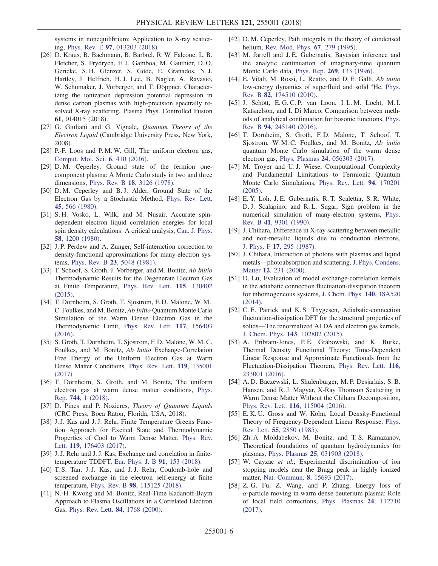systems in nonequilibrium: Application to X-ray scattering, Phys. Rev. E 97[, 013203 \(2018\).](https://doi.org/10.1103/PhysRevE.97.013203)

- <span id="page-5-0"></span>[26] D. Kraus, B. Bachmann, B. Barbrel, R. W. Falcone, L. B. Fletcher, S. Frydrych, E. J. Gamboa, M. Gauthier, D. O. Gericke, S. H. Glenzer, S. Göde, E. Granados, N. J. Hartley, J. Helfrich, H. J. Lee, B. Nagler, A. Ravasio, W. Schumaker, J. Vorberger, and T. Döppner, Characterizing the ionization depression potential depression in dense carbon plasmas with high-precision spectrally resolved X-ray scattering, Plasma Phys. Controlled Fusion 61, 014015 (2018).
- <span id="page-5-1"></span>[27] G. Giuliani and G. Vignale, Quantum Theory of the Electron Liquid (Cambridge University Press, New York, 2008).
- [28] P.-F. Loos and P.M.W. Gill, The uniform electron gas, [Comput. Mol. Sci.](https://doi.org/10.1002/wcms.1257) 6, 410 (2016).
- <span id="page-5-2"></span>[29] D. M. Ceperley, Ground state of the fermion onecomponent plasma: A Monte Carlo study in two and three dimensions, Phys. Rev. B 18[, 3126 \(1978\).](https://doi.org/10.1103/PhysRevB.18.3126)
- [30] D. M. Ceperley and B. J. Alder, Ground State of the Electron Gas by a Stochastic Method, [Phys. Rev. Lett.](https://doi.org/10.1103/PhysRevLett.45.566) 45[, 566 \(1980\)](https://doi.org/10.1103/PhysRevLett.45.566).
- [31] S. H. Vosko, L. Wilk, and M. Nusair, Accurate spindependent electron liquid correlation energies for local spin density calculations: A critical analysis, [Can. J. Phys.](https://doi.org/10.1139/p80-159) 58[, 1200 \(1980\)](https://doi.org/10.1139/p80-159).
- [32] J. P. Perdew and A. Zunger, Self-interaction correction to density-functional approximations for many-electron systems, Phys. Rev. B 23[, 5048 \(1981\).](https://doi.org/10.1103/PhysRevB.23.5048)
- <span id="page-5-3"></span>[33] T. Schoof, S. Groth, J. Vorberger, and M. Bonitz, Ab Initio Thermodynamic Results for the Degenerate Electron Gas at Finite Temperature, [Phys. Rev. Lett.](https://doi.org/10.1103/PhysRevLett.115.130402) 115, 130402 [\(2015\).](https://doi.org/10.1103/PhysRevLett.115.130402)
- <span id="page-5-15"></span>[34] T. Dornheim, S. Groth, T. Sjostrom, F. D. Malone, W. M. C. Foulkes, and M. Bonitz, Ab Initio Quantum Monte Carlo Simulation of the Warm Dense Electron Gas in the Thermodynamic Limit, [Phys. Rev. Lett.](https://doi.org/10.1103/PhysRevLett.117.156403) 117, 156403 [\(2016\).](https://doi.org/10.1103/PhysRevLett.117.156403)
- [35] S. Groth, T. Dornheim, T. Sjostrom, F. D. Malone, W. M. C. Foulkes, and M. Bonitz, Ab Initio Exchange-Correlation Free Energy of the Uniform Electron Gas at Warm Dense Matter Conditions, [Phys. Rev. Lett.](https://doi.org/10.1103/PhysRevLett.119.135001) 119, 135001 [\(2017\)](https://doi.org/10.1103/PhysRevLett.119.135001).
- <span id="page-5-4"></span>[36] T. Dornheim, S. Groth, and M. Bonitz, The uniform electron gas at warm dense matter conditions, [Phys.](https://doi.org/10.1016/j.physrep.2018.04.001) Rep. 744[, 1 \(2018\).](https://doi.org/10.1016/j.physrep.2018.04.001)
- <span id="page-5-6"></span><span id="page-5-5"></span>[37] D. Pines and P. Nozieres, *Theory of Quantum Liquids* (CRC Press, Boca Raton, Florida, USA, 2018).
- [38] J.J. Kas and J.J. Rehr, Finite Temperature Greens Function Approach for Excited State and Thermodynamic Properties of Cool to Warm Dense Matter, [Phys. Rev.](https://doi.org/10.1103/PhysRevLett.119.176403) Lett. 119[, 176403 \(2017\)](https://doi.org/10.1103/PhysRevLett.119.176403).
- [39] J. J. Rehr and J. J. Kas, Exchange and correlation in finitetemperature TDDFT, [Eur. Phys. J. B](https://doi.org/10.1140/epjb/e2018-90063-3) 91, 153 (2018).
- [40] T. S. Tan, J. J. Kas, and J. J. Rehr, Coulomb-hole and screened exchange in the electron self-energy at finite temperature, Phys. Rev. B 98[, 115125 \(2018\)](https://doi.org/10.1103/PhysRevB.98.115125).
- [41] N.-H. Kwong and M. Bonitz, Real-Time Kadanoff-Baym Approach to Plasma Oscillations in a Correlated Electron Gas, [Phys. Rev. Lett.](https://doi.org/10.1103/PhysRevLett.84.1768) 84, 1768 (2000).
- <span id="page-5-7"></span>[42] D. M. Ceperley, Path integrals in the theory of condensed helium, [Rev. Mod. Phys.](https://doi.org/10.1103/RevModPhys.67.279) 67, 279 (1995).
- <span id="page-5-8"></span>[43] M. Jarrell and J.E. Gubernatis, Bayesian inference and the analytic continuation of imaginary-time quantum Monte Carlo data, Phys. Rep. 269[, 133 \(1996\).](https://doi.org/10.1016/0370-1573(95)00074-7)
- <span id="page-5-14"></span>[44] E. Vitali, M. Rossi, L. Reatto, and D. E. Galli, Ab initio low-energy dynamics of superfluid and solid <sup>4</sup>He, [Phys.](https://doi.org/10.1103/PhysRevB.82.174510) Rev. B 82[, 174510 \(2010\).](https://doi.org/10.1103/PhysRevB.82.174510)
- [45] J. Schött, E. G. C. P. van Loon, I. L. M. Locht, M. I. Katsnelson, and I. Di Marco, Comparison between methods of analytical continuation for bosonic functions, [Phys.](https://doi.org/10.1103/PhysRevB.94.245140) Rev. B 94[, 245140 \(2016\).](https://doi.org/10.1103/PhysRevB.94.245140)
- <span id="page-5-9"></span>[46] T. Dornheim, S. Groth, F. D. Malone, T. Schoof, T. Sjostrom, W. M. C. Foulkes, and M. Bonitz, Ab initio quantum Monte Carlo simulation of the warm dense electron gas, Phys. Plasmas 24[, 056303 \(2017\).](https://doi.org/10.1063/1.4977920)
- [47] M. Troyer and U. J. Wiese, Computational Complexity and Fundamental Limitations to Fermionic Quantum Monte Carlo Simulations, [Phys. Rev. Lett.](https://doi.org/10.1103/PhysRevLett.94.170201) 94, 170201 [\(2005\).](https://doi.org/10.1103/PhysRevLett.94.170201)
- [48] E. Y. Loh, J. E. Gubernatis, R. T. Scalettar, S. R. White, D. J. Scalapino, and R. L. Sugar, Sign problem in the numerical simulation of many-electron systems, [Phys.](https://doi.org/10.1103/PhysRevB.41.9301) Rev. B 41[, 9301 \(1990\)](https://doi.org/10.1103/PhysRevB.41.9301).
- <span id="page-5-10"></span>[49] J. Chihara, Difference in X-ray scattering between metallic and non-metallic liquids due to conduction electrons, J. Phys. F 17[, 295 \(1987\).](https://doi.org/10.1088/0305-4608/17/2/002)
- [50] J. Chihara, Interaction of photons with plasmas and liquid metals—photoabsorption and scattering, [J. Phys. Condens.](https://doi.org/10.1088/0953-8984/12/3/303) Matter 12[, 231 \(2000\).](https://doi.org/10.1088/0953-8984/12/3/303)
- <span id="page-5-11"></span>[51] D. Lu, Evaluation of model exchange-correlation kernels in the adiabatic connection fluctuation-dissipation theorem for inhomogeneous systems, [J. Chem. Phys.](https://doi.org/10.1063/1.4867538) 140, 18A520 [\(2014\).](https://doi.org/10.1063/1.4867538)
- [52] C. E. Patrick and K. S. Thygesen, Adiabatic-connection fluctuation-dissipation DFT for the structural properties of solids—The renormalized ALDA and electron gas kernels, J. Chem. Phys. 143[, 102802 \(2015\)](https://doi.org/10.1063/1.4919236).
- [53] A. Pribram-Jones, P.E. Grabowski, and K. Burke, Thermal Density Functional Theory: Time-Dependent Linear Response and Approximate Functionals from the Fluctuation-Dissipation Theorem, [Phys. Rev. Lett.](https://doi.org/10.1103/PhysRevLett.116.233001) 116, [233001 \(2016\).](https://doi.org/10.1103/PhysRevLett.116.233001)
- <span id="page-5-16"></span>[54] A. D. Baczewski, L. Shulenburger, M. P. Desjarlais, S. B. Hansen, and R. J. Magyar, X-Ray Thomson Scattering in Warm Dense Matter Without the Chihara Decomposition, Phys. Rev. Lett. 116[, 115004 \(2016\).](https://doi.org/10.1103/PhysRevLett.116.115004)
- [55] E. K. U. Gross and W. Kohn, Local Density-Functional Theory of Frequency-Dependent Linear Response, [Phys.](https://doi.org/10.1103/PhysRevLett.55.2850) Rev. Lett. 55[, 2850 \(1985\)](https://doi.org/10.1103/PhysRevLett.55.2850).
- <span id="page-5-12"></span>[56] Zh. A. Moldabekov, M. Bonitz, and T. S. Ramazanov, Theoretical foundations of quantum hydrodynamics for plasmas, Phys. Plasmas 25[, 031903 \(2018\)](https://doi.org/10.1063/1.5003910).
- <span id="page-5-13"></span>[57] W. Cayzac et al., Experimental discrimination of ion stopping models near the Bragg peak in highly ionized matter, Nat. Commun. 8[, 15693 \(2017\).](https://doi.org/10.1038/ncomms15693)
- [58] Z.-G. Fu, Z. Wang, and P. Zhang, Energy loss of  $\alpha$ -particle moving in warm dense deuterium plasma: Role of local field corrections, [Phys. Plasmas](https://doi.org/10.1063/1.5008581) 24, 112710 [\(2017\).](https://doi.org/10.1063/1.5008581)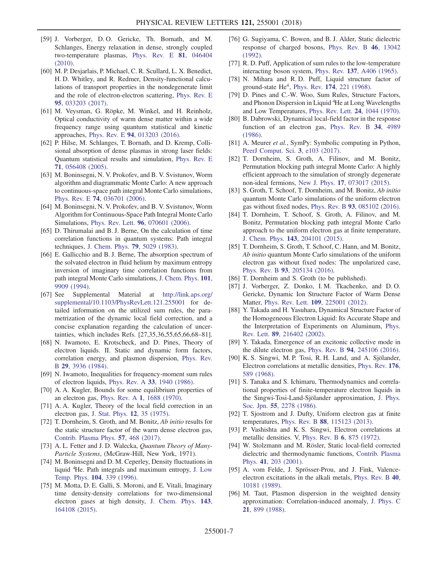- <span id="page-6-0"></span>[59] J. Vorberger, D. O. Gericke, Th. Bornath, and M. Schlanges, Energy relaxation in dense, strongly coupled two-temperature plasmas, [Phys. Rev. E](https://doi.org/10.1103/PhysRevE.81.046404) 81, 046404 [\(2010\).](https://doi.org/10.1103/PhysRevE.81.046404)
- <span id="page-6-1"></span>[60] M. P. Desjarlais, P. Michael, C. R. Scullard, L. X. Benedict, H. D. Whitley, and R. Redmer, Density-functional calculations of transport properties in the nondegenerate limit and the role of electron-electron scattering, [Phys. Rev. E](https://doi.org/10.1103/PhysRevE.95.033203) 95[, 033203 \(2017\).](https://doi.org/10.1103/PhysRevE.95.033203)
- [61] M. Veysman, G. Röpke, M. Winkel, and H. Reinholz, Optical conductivity of warm dense matter within a wide frequency range using quantum statistical and kinetic approaches, Phys. Rev. E 94[, 013203 \(2016\)](https://doi.org/10.1103/PhysRevE.94.013203).
- <span id="page-6-2"></span>[62] P. Hilse, M. Schlanges, T. Bornath, and D. Kremp, Collisional absorption of dense plasmas in strong laser fields: Quantum statistical results and simulation, [Phys. Rev. E](https://doi.org/10.1103/PhysRevE.71.056408) 71[, 056408 \(2005\).](https://doi.org/10.1103/PhysRevE.71.056408)
- <span id="page-6-3"></span>[63] M. Boninsegni, N. V. Prokofev, and B. V. Svistunov, Worm algorithm and diagrammatic Monte Carlo: A new approach to continuous-space path integral Monte Carlo simulations, Phys. Rev. E 74[, 036701 \(2006\)](https://doi.org/10.1103/PhysRevE.74.036701).
- [64] M. Boninsegni, N. V. Prokofev, and B. V. Svistunov, Worm Algorithm for Continuous-Space Path Integral Monte Carlo Simulations, Phys. Rev. Lett. 96[, 070601 \(2006\)](https://doi.org/10.1103/PhysRevLett.96.070601).
- <span id="page-6-4"></span>[65] D. Thirumalai and B. J. Berne, On the calculation of time correlation functions in quantum systems: Path integral techniques, [J. Chem. Phys.](https://doi.org/10.1063/1.445597) 79, 5029 (1983).
- [66] E. Gallicchio and B. J. Berne, The absorption spectrum of the solvated electron in fluid helium by maximum entropy inversion of imaginary time correlation functions from path integral Monte Carlo simulations, [J. Chem. Phys.](https://doi.org/10.1063/1.467892) 101, [9909 \(1994\).](https://doi.org/10.1063/1.467892)
- <span id="page-6-5"></span>[67] See Supplemental Material at [http://link.aps.org/](http://link.aps.org/supplemental/10.1103/PhysRevLett.121.255001) [supplemental/10.1103/PhysRevLett.121.255001](http://link.aps.org/supplemental/10.1103/PhysRevLett.121.255001) for detailed information on the utilized sum rules, the parametrization of the dynamic local field correction, and a concise explanation regarding the calculation of uncertainties, which includes Refs. [27,35,36,55,65,66,68–81].
- [68] N. Iwamoto, E. Krotscheck, and D. Pines, Theory of electron liquids. II. Static and dynamic form factors, correlation energy, and plasmon dispersion, [Phys. Rev.](https://doi.org/10.1103/PhysRevB.29.3936) B 29[, 3936 \(1984\).](https://doi.org/10.1103/PhysRevB.29.3936)
- [69] N. Iwamoto, Inequalities for frequency-moment sum rules of electron liquids, Phys. Rev. A 33[, 1940 \(1986\).](https://doi.org/10.1103/PhysRevA.33.1940)
- [70] A. A. Kugler, Bounds for some equilibrium properties of an electron gas, Phys. Rev. A 1[, 1688 \(1970\)](https://doi.org/10.1103/PhysRevA.1.1688).
- [71] A. A. Kugler, Theory of the local field correction in an electron gas, [J. Stat. Phys.](https://doi.org/10.1007/BF01024183) 12, 35 (1975).
- [72] T. Dornheim, S. Groth, and M. Bonitz, Ab initio results for the static structure factor of the warm dense electron gas, [Contrib. Plasma Phys.](https://doi.org/10.1002/ctpp.201700096) 57, 468 (2017).
- [73] A. L. Fetter and J. D. Walecka, Quantum Theory of Many-Particle Systems, (McGraw-Hill, New York, 1971).
- [74] M. Boninsegni and D. M. Ceperley, Density fluctuations in liquid <sup>4</sup> He. Path integrals and maximum entropy, [J. Low](https://doi.org/10.1007/BF00751861) Temp. Phys. 104[, 339 \(1996\)](https://doi.org/10.1007/BF00751861).
- [75] M. Motta, D. E. Galli, S. Moroni, and E. Vitali, Imaginary time density-density correlations for two-dimensional electron gases at high density, [J. Chem. Phys.](https://doi.org/10.1063/1.4934666) 143, [164108 \(2015\).](https://doi.org/10.1063/1.4934666)
- [76] G. Sugiyama, C. Bowen, and B. J. Alder, Static dielectric response of charged bosons, [Phys. Rev. B](https://doi.org/10.1103/PhysRevB.46.13042) 46, 13042 [\(1992\).](https://doi.org/10.1103/PhysRevB.46.13042)
- [77] R. D. Puff, Application of sum rules to the low-temperature interacting boson system, Phys. Rev. 137[, A406 \(1965\).](https://doi.org/10.1103/PhysRev.137.A406)
- [78] N. Mihara and R. D. Puff, Liquid structure factor of ground-state  $He^4$ , Phys. Rev. 174[, 221 \(1968\)](https://doi.org/10.1103/PhysRev.174.221).
- [79] D. Pines and C.-W. Woo, Sum Rules, Structure Factors, and Phonon Dispersion in Liquid <sup>4</sup>He at Long Wavelengths and Low Temperatures, [Phys. Rev. Lett.](https://doi.org/10.1103/PhysRevLett.24.1044) 24, 1044 (1970).
- [80] B. Dabrowski, Dynamical local-field factor in the response function of an electron gas, [Phys. Rev. B](https://doi.org/10.1103/PhysRevB.34.4989) 34, 4989 [\(1986\).](https://doi.org/10.1103/PhysRevB.34.4989)
- [81] A. Meurer *et al.*, SymPy: Symbolic computing in Python, [PeerJ Comput. Sci.](https://doi.org/10.7717/peerj-cs.103) 3, e103 (2017).
- <span id="page-6-6"></span>[82] T. Dornheim, S. Groth, A. Filinov, and M. Bonitz, Permutation blocking path integral Monte Carlo: A highly efficient approach to the simulation of strongly degenerate non-ideal fermions, New J. Phys. 17[, 073017 \(2015\)](https://doi.org/10.1088/1367-2630/17/7/073017).
- [83] S. Groth, T. Schoof, T. Dornheim, and M. Bonitz, Ab initio quantum Monte Carlo simulations of the uniform electron gas without fixed nodes, Phys. Rev. B 93[, 085102 \(2016\).](https://doi.org/10.1103/PhysRevB.93.085102)
- [84] T. Dornheim, T. Schoof, S. Groth, A. Filinov, and M. Bonitz, Permutation blocking path integral Monte Carlo approach to the uniform electron gas at finite temperature, J. Chem. Phys. 143[, 204101 \(2015\)](https://doi.org/10.1063/1.4936145).
- [85] T. Dornheim, S. Groth, T. Schoof, C. Hann, and M. Bonitz, Ab initio quantum Monte Carlo simulations of the uniform electron gas without fixed nodes: The unpolarized case, Phys. Rev. B 93[, 205134 \(2016\).](https://doi.org/10.1103/PhysRevB.93.205134)
- <span id="page-6-8"></span><span id="page-6-7"></span>[86] T. Dornheim and S. Groth (to be published).
- [87] J. Vorberger, Z. Donko, I. M. Tkachenko, and D. O. Gericke, Dynamic Ion Structure Factor of Warm Dense Matter, Phys. Rev. Lett. 109[, 225001 \(2012\).](https://doi.org/10.1103/PhysRevLett.109.225001)
- <span id="page-6-9"></span>[88] Y. Takada and H. Yasuhara, Dynamical Structure Factor of the Homogeneous Electron Liquid: Its Accurate Shape and the Interpretation of Experiments on Aluminum, [Phys.](https://doi.org/10.1103/PhysRevLett.89.216402) Rev. Lett. 89[, 216402 \(2002\).](https://doi.org/10.1103/PhysRevLett.89.216402)
- <span id="page-6-14"></span>[89] Y. Takada, Emergence of an excitonic collective mode in the dilute electron gas, Phys. Rev. B 94[, 245106 \(2016\)](https://doi.org/10.1103/PhysRevB.94.245106).
- <span id="page-6-10"></span>[90] K. S. Singwi, M. P. Tosi, R. H. Land, and A. Sjölander, Electron correlations at metallic densities, [Phys. Rev.](https://doi.org/10.1103/PhysRev.176.589) 176, [589 \(1968\)](https://doi.org/10.1103/PhysRev.176.589).
- [91] S. Tanaka and S. Ichimaru, Thermodynamics and correlational properties of finite-temperature electron liquids in the Singwi-Tosi-Land-Sjölander approximation, [J. Phys.](https://doi.org/10.1143/JPSJ.55.2278) Soc. Jpn. 55[, 2278 \(1986\).](https://doi.org/10.1143/JPSJ.55.2278)
- <span id="page-6-11"></span>[92] T. Sjostrom and J. Dufty, Uniform electron gas at finite temperatures, Phys. Rev. B 88[, 115123 \(2013\).](https://doi.org/10.1103/PhysRevB.88.115123)
- [93] P. Vashishta and K. S. Singwi, Electron correlations at metallic densities. V, [Phys. Rev. B](https://doi.org/10.1103/PhysRevB.6.875) 6, 875 (1972).
- [94] W. Stolzmann and M. Rösler, Static local-field corrected dielectric and thermodynamic functions, [Contrib. Plasma](https://doi.org/10.1002/1521-3986(200103)41:2/3%3C203::AID-CTPP203%3E3.0.CO;2-S) Phys. 41[, 203 \(2001\).](https://doi.org/10.1002/1521-3986(200103)41:2/3%3C203::AID-CTPP203%3E3.0.CO;2-S)
- <span id="page-6-12"></span>[95] A. vom Felde, J. Sprösser-Prou, and J. Fink, Valenceelectron excitations in the alkali metals, [Phys. Rev. B](https://doi.org/10.1103/PhysRevB.40.10181) 40, [10181 \(1989\).](https://doi.org/10.1103/PhysRevB.40.10181)
- <span id="page-6-13"></span>[96] M. Taut, Plasmon dispersion in the weighted density approximation: Correlation-induced anomaly, [J. Phys. C](https://doi.org/10.1088/0022-3719/21/5/009) 21[, 899 \(1988\)](https://doi.org/10.1088/0022-3719/21/5/009).